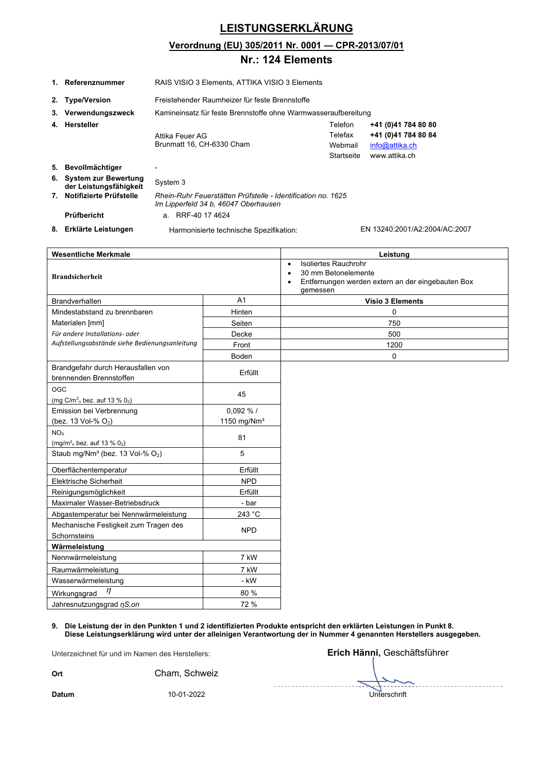## **LEISTUNGSERKLÄRUNG**

### **Verordnung (EU) 305/2011 Nr. 0001 — CPR-2013/07/01**

### **Nr.: 124 Elements**

|                                       | 1. Referenznummer                                                | RAIS VISIO 3 Elements, ATTIKA VISIO 3 Elements                 |                                                              |           |                      |                                                   |
|---------------------------------------|------------------------------------------------------------------|----------------------------------------------------------------|--------------------------------------------------------------|-----------|----------------------|---------------------------------------------------|
| 2.                                    | <b>Type/Version</b>                                              | Freistehender Raumheizer für feste Brennstoffe                 |                                                              |           |                      |                                                   |
| З.                                    | Verwendungszweck                                                 | Kamineinsatz für feste Brennstoffe ohne Warmwasseraufbereitung |                                                              |           |                      |                                                   |
|                                       | 4. Hersteller                                                    | Telefon                                                        |                                                              |           | +41 (0)41 784 80 80  |                                                   |
|                                       |                                                                  | Attika Feuer AG                                                |                                                              |           | Telefax              | +41 (0)41 784 80 84                               |
|                                       |                                                                  | Brunmatt 16, CH-6330 Cham                                      |                                                              |           | Webmail              | info@attika.ch                                    |
|                                       |                                                                  |                                                                |                                                              |           | <b>Startseite</b>    | www.attika.ch                                     |
|                                       | 5. Bevollmächtiger                                               |                                                                |                                                              |           |                      |                                                   |
|                                       | 6. System zur Bewertung                                          | System 3                                                       |                                                              |           |                      |                                                   |
|                                       | der Leistungsfähigkeit<br>7. Notifizierte Prüfstelle             |                                                                | Rhein-Ruhr Feuerstätten Prüfstelle - Identification no. 1625 |           |                      |                                                   |
|                                       |                                                                  |                                                                | Im Lipperfeld 34 b, 46047 Oberhausen                         |           |                      |                                                   |
|                                       | Prüfbericht                                                      | a. RRF-40 17 4624                                              |                                                              |           |                      |                                                   |
|                                       | 8. Erklärte Leistungen                                           |                                                                | Harmonisierte technische Spezifikation:                      |           |                      | EN 13240:2001/A2:2004/AC:2007                     |
|                                       |                                                                  |                                                                |                                                              |           |                      |                                                   |
|                                       | <b>Wesentliche Merkmale</b>                                      |                                                                |                                                              |           |                      | Leistung                                          |
|                                       |                                                                  |                                                                |                                                              | $\bullet$ | Isoliertes Rauchrohr |                                                   |
|                                       | <b>Brandsicherheit</b>                                           |                                                                |                                                              |           | 30 mm Betonelemente  |                                                   |
|                                       |                                                                  |                                                                |                                                              | gemessen  |                      | Entfernungen werden extern an der eingebauten Box |
|                                       | <b>Brandverhalten</b>                                            |                                                                | A1                                                           |           |                      | <b>Visio 3 Elements</b>                           |
|                                       | Mindestabstand zu brennbaren                                     |                                                                | Hinten                                                       |           |                      | 0                                                 |
|                                       | Materialen [mm]                                                  |                                                                | Seiten                                                       |           |                      | 750                                               |
|                                       | Für andere Installations- oder                                   |                                                                | Decke                                                        |           |                      | 500                                               |
|                                       | Aufstellungsabstände siehe Bedienungsanleitung                   |                                                                | Front                                                        | 1200      |                      |                                                   |
|                                       |                                                                  |                                                                | Boden                                                        | 0         |                      |                                                   |
|                                       | Brandgefahr durch Herausfallen von                               |                                                                |                                                              |           |                      |                                                   |
|                                       | brennenden Brennstoffen                                          |                                                                | Erfüllt                                                      |           |                      |                                                   |
| OGC                                   |                                                                  |                                                                | 45                                                           |           |                      |                                                   |
|                                       | (mg C/m <sup>3</sup> <sub>n</sub> bez. auf 13 % 0 <sub>2</sub> ) |                                                                |                                                              |           |                      |                                                   |
|                                       | Emission bei Verbrennung                                         |                                                                | 0.092%                                                       |           |                      |                                                   |
|                                       | (bez. 13 Vol-% O <sub>2</sub> )                                  |                                                                | 1150 mg/ $Nm3$                                               |           |                      |                                                   |
| NO <sub>x</sub>                       |                                                                  |                                                                | 81                                                           |           |                      |                                                   |
|                                       | $(mg/m3n$ bez. auf 13 % 02)                                      |                                                                | 5                                                            |           |                      |                                                   |
|                                       | Staub mg/Nm <sup>3</sup> (bez. 13 Vol-% O <sub>2</sub> )         |                                                                |                                                              |           |                      |                                                   |
|                                       | Oberflächentemperatur                                            |                                                                | Erfüllt                                                      |           |                      |                                                   |
|                                       | Elektrische Sicherheit                                           |                                                                | <b>NPD</b>                                                   |           |                      |                                                   |
|                                       | Reinigungsmöglichkeit                                            |                                                                | Erfüllt                                                      |           |                      |                                                   |
| Maximaler Wasser-Betriebsdruck        |                                                                  | - bar                                                          |                                                              |           |                      |                                                   |
| Abgastemperatur bei Nennwärmeleistung |                                                                  | 243 °C                                                         |                                                              |           |                      |                                                   |
| Mechanische Festigkeit zum Tragen des |                                                                  | <b>NPD</b>                                                     |                                                              |           |                      |                                                   |
| Schornsteins                          |                                                                  |                                                                |                                                              |           |                      |                                                   |
| Wärmeleistung                         |                                                                  |                                                                |                                                              |           |                      |                                                   |
| Nennwärmeleistung                     |                                                                  | 7 kW                                                           |                                                              |           |                      |                                                   |
|                                       | Raumwärmeleistung                                                |                                                                | 7 kW                                                         |           |                      |                                                   |
|                                       | Wasserwärmeleistung<br>η                                         |                                                                | - kW                                                         |           |                      |                                                   |
|                                       | Wirkungsgrad                                                     |                                                                | 80 %                                                         |           |                      |                                                   |
|                                       | Jahresnutzungsgrad $\eta$ S, on                                  |                                                                | 72 %                                                         |           |                      |                                                   |

**9. Die Leistung der in den Punkten 1 und 2 identifizierten Produkte entspricht den erklärten Leistungen in Punkt 8. Diese Leistungserklärung wird unter der alleinigen Verantwortung der in Nummer 4 genannten Herstellers ausgegeben.** 

Unterzeichnet für und im Namen des Herstellers: **Erich Hänni,** Geschäftsführer

**Ort** Cham, Schweiz

**Datum** 10-01-2022 Unterschrift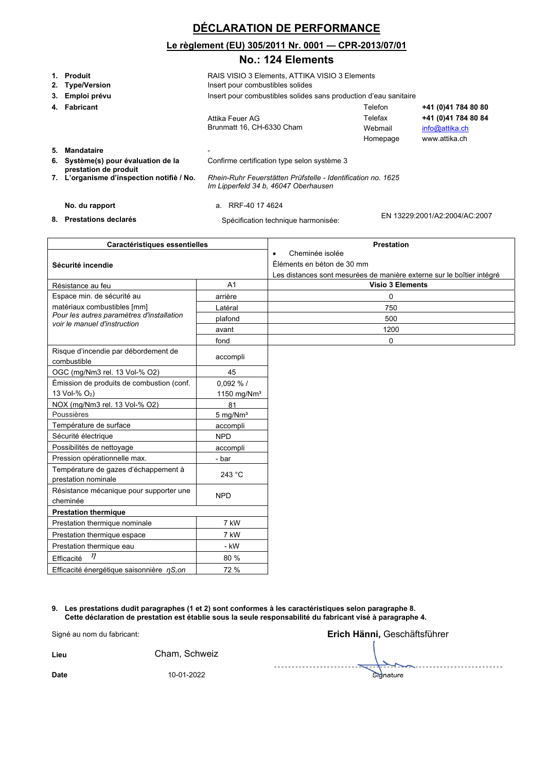## **DÉCLARATION DE PERFORMANCE**

#### **Le règlement (EU) 305/2011 Nr. 0001 — CPR-2013/07/01**

#### **No.: 124 Elements**

| 3. | 1. Produit<br>2. Type/Version<br>Emploi prévu             | RAIS VISIO 3 Elements, ATTIKA VISIO 3 Elements<br>Insert pour combustibles solides<br>Insert pour combustibles solides sans production d'eau sanitaire |         |                     |                                                        |
|----|-----------------------------------------------------------|--------------------------------------------------------------------------------------------------------------------------------------------------------|---------|---------------------|--------------------------------------------------------|
|    |                                                           |                                                                                                                                                        |         |                     |                                                        |
|    | 4. Fabricant                                              |                                                                                                                                                        | Telefon |                     | +41 (0)41 784 80 80                                    |
|    |                                                           | Attika Feuer AG<br>Brunmatt 16, CH-6330 Cham                                                                                                           | Telefax | Webmail<br>Homepage | +41 (0)41 784 80 84<br>info@attika.ch<br>www.attika.ch |
| 5. | <b>Mandataire</b>                                         |                                                                                                                                                        |         |                     |                                                        |
| 6. | Système(s) pour évaluation de la<br>prestation de produit | Confirme certification type selon système 3                                                                                                            |         |                     |                                                        |
|    | 7. L'organisme d'inspection notifiè / No.                 | Rhein-Ruhr Feuerstätten Prüfstelle - Identification no. 1625<br>Im Lipperfeld 34 b, 46047 Oberhausen                                                   |         |                     |                                                        |
|    | No. du rapport                                            | a. RRF-40 17 4624                                                                                                                                      |         |                     |                                                        |
|    | 8. Prestations declarés                                   | Spécification technique harmonisée:                                                                                                                    |         |                     | EN 13229:2001/A2:2004/AC:2007                          |

| Caractéristiques essentielles                                             |                            | <b>Prestation</b>                                                     |
|---------------------------------------------------------------------------|----------------------------|-----------------------------------------------------------------------|
|                                                                           |                            | Cheminée isolée<br>$\bullet$                                          |
| Sécurité incendie                                                         |                            | Éléments en béton de 30 mm                                            |
|                                                                           |                            | Les distances sont mesurées de manière externe sur le boîtier intégré |
| Résistance au feu                                                         | A <sub>1</sub>             | <b>Visio 3 Elements</b>                                               |
| Espace min. de sécurité au                                                | arrière                    | $\Omega$                                                              |
| matériaux combustibles [mm]                                               | Latéral                    | 750                                                                   |
| Pour les autres paramètres d'installation<br>voir le manuel d'instruction | plafond                    | 500                                                                   |
|                                                                           | avant                      | 1200                                                                  |
|                                                                           | fond                       | $\mathbf 0$                                                           |
| Risque d'incendie par débordement de<br>combustible                       | accompli                   |                                                                       |
| OGC (mg/Nm3 rel. 13 Vol-% O2)                                             | 45                         |                                                                       |
| Émission de produits de combustion (conf.                                 | $0.092\%$ /                |                                                                       |
| 13 Vol-% O <sub>2</sub> )                                                 | 1150 mg/ $Nm3$             |                                                                       |
| NOX (mg/Nm3 rel. 13 Vol-% O2)                                             | 81                         |                                                                       |
| Poussières                                                                | $5 \text{ mg}/\text{Nm}^3$ |                                                                       |
| Température de surface                                                    | accompli                   |                                                                       |
| Sécurité électrique                                                       | <b>NPD</b>                 |                                                                       |
| Possibilités de nettoyage                                                 | accompli                   |                                                                       |
| Pression opérationnelle max.                                              | - bar                      |                                                                       |
| Température de gazes d'échappement à                                      | 243 °C                     |                                                                       |
| prestation nominale                                                       |                            |                                                                       |
| Résistance mécanique pour supporter une                                   | <b>NPD</b>                 |                                                                       |
| cheminée                                                                  |                            |                                                                       |
| <b>Prestation thermique</b>                                               |                            |                                                                       |
| Prestation thermique nominale<br>7 kW                                     |                            |                                                                       |
| 7 kW<br>Prestation thermique espace                                       |                            |                                                                       |
| Prestation thermique eau<br>- kW                                          |                            |                                                                       |
| $\eta$<br>Efficacité                                                      | 80 %                       |                                                                       |
| Efficacité énergétique saisonnière $\eta S, \text{on}$                    | 72 %                       |                                                                       |

**9. Les prestations dudit paragraphes (1 et 2) sont conformes à les caractéristiques selon paragraphe 8. Cette déclaration de prestation est établie sous la seule responsabilité du fabricant visé à paragraphe 4.**

| Signé au nom du fabricant: |               | Erich Hänni, Geschäftsführer |
|----------------------------|---------------|------------------------------|
| Lieu                       | Cham, Schweiz |                              |
| <b>Date</b>                | 10-01-2022    | Signature                    |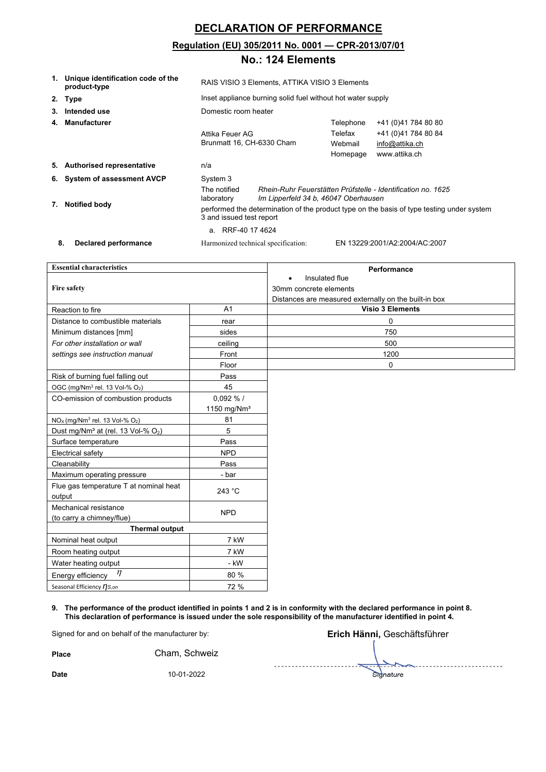## **DECLARATION OF PERFORMANCE**

#### **Regulation (EU) 305/2011 No. 0001 — CPR-2013/07/01**

### **No.: 124 Elements**

| 1. | Unique identification code of the<br>product-type | RAIS VISIO 3 Elements, ATTIKA VISIO 3 Elements                                                                        |                                                                                                      |                                             |                                                                               |
|----|---------------------------------------------------|-----------------------------------------------------------------------------------------------------------------------|------------------------------------------------------------------------------------------------------|---------------------------------------------|-------------------------------------------------------------------------------|
|    | 2. Type                                           | Inset appliance burning solid fuel without hot water supply                                                           |                                                                                                      |                                             |                                                                               |
| 3. | Intended use                                      | Domestic room heater                                                                                                  |                                                                                                      |                                             |                                                                               |
| 4. | <b>Manufacturer</b>                               | Attika Feuer AG<br>Brunmatt 16, CH-6330 Cham                                                                          |                                                                                                      | Telephone<br>Telefax<br>Webmail<br>Homepage | +41 (0)41 784 80 80<br>+41 (0)41 784 80 84<br>info@attika.ch<br>www.attika.ch |
|    | 5. Authorised representative                      | n/a                                                                                                                   |                                                                                                      |                                             |                                                                               |
|    | 6. System of assessment AVCP                      | System 3                                                                                                              |                                                                                                      |                                             |                                                                               |
| 7. | <b>Notified body</b>                              | The notified<br>laboratory                                                                                            | Rhein-Ruhr Feuerstätten Prüfstelle - Identification no. 1625<br>Im Lipperfeld 34 b, 46047 Oberhausen |                                             |                                                                               |
|    |                                                   | performed the determination of the product type on the basis of type testing under system<br>3 and issued test report |                                                                                                      |                                             |                                                                               |
|    |                                                   | a. RRF-40 17 4624                                                                                                     |                                                                                                      |                                             |                                                                               |
| 8. | Declared performance                              |                                                                                                                       | Harmonized technical specification:                                                                  |                                             | EN 13229:2001/A2:2004/AC:2007                                                 |

| <b>Essential characteristics</b>                       |                         | Performance                                           |  |
|--------------------------------------------------------|-------------------------|-------------------------------------------------------|--|
|                                                        |                         | Insulated flue                                        |  |
| Fire safety                                            |                         | 30mm concrete elements                                |  |
|                                                        |                         | Distances are measured externally on the built-in box |  |
| Reaction to fire                                       | A <sub>1</sub>          | <b>Visio 3 Elements</b>                               |  |
| Distance to combustible materials                      | rear                    | 0                                                     |  |
| Minimum distances [mm]                                 | sides                   | 750                                                   |  |
| For other installation or wall                         | ceiling                 | 500                                                   |  |
| settings see instruction manual                        | Front                   | 1200                                                  |  |
|                                                        | Floor                   | $\mathbf 0$                                           |  |
| Risk of burning fuel falling out                       | Pass                    |                                                       |  |
| OGC (mg/Nm <sup>3</sup> rel. 13 Vol-% O <sub>2</sub> ) | 45                      |                                                       |  |
| CO-emission of combustion products                     | 0,092 % /               |                                                       |  |
|                                                        | 1150 mg/Nm <sup>3</sup> |                                                       |  |
| $NOx$ (mg/Nm <sup>3</sup> rel. 13 Vol-% $O2$ )         | 81                      |                                                       |  |
| Dust mg/Nm <sup>3</sup> at (rel. 13 Vol-% $O_2$ )      | 5                       |                                                       |  |
| Surface temperature                                    | Pass                    |                                                       |  |
| Electrical safety                                      | <b>NPD</b>              |                                                       |  |
| Cleanability                                           | Pass                    |                                                       |  |
| Maximum operating pressure                             | - bar                   |                                                       |  |
| Flue gas temperature T at nominal heat                 | 243 °C                  |                                                       |  |
| output                                                 |                         |                                                       |  |
| Mechanical resistance                                  | <b>NPD</b>              |                                                       |  |
| (to carry a chimney/flue)                              |                         |                                                       |  |
| Thermal output                                         |                         |                                                       |  |
| Nominal heat output                                    | 7 kW                    |                                                       |  |
| Room heating output                                    | 7 kW                    |                                                       |  |
| Water heating output                                   | - kW                    |                                                       |  |
| $\eta$<br>Energy efficiency                            | 80 %                    |                                                       |  |
| Seasonal Efficiency nS,on                              | 72 %                    |                                                       |  |

**9. The performance of the product identified in points 1 and 2 is in conformity with the declared performance in point 8. This declaration of performance is issued under the sole responsibility of the manufacturer identified in point 4.**

Place **Place Cham**, Schweiz

Signed for and on behalf of the manufacturer by: **Erich Hänni,** Geschäftsführer . . . . . . . . . . . . . **Date** 10-01-2022 Signature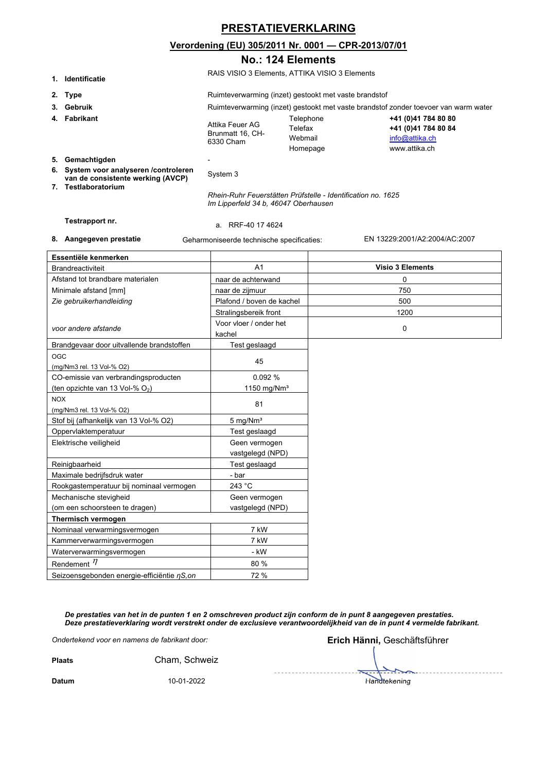## **PRESTATIEVERKLARING**

#### **Verordening (EU) 305/2011 Nr. 0001 — CPR-2013/07/01**

#### **No.: 124 Elements**

**1. Identificatie** RAIS VISIO 3 Elements, ATTIKA VISIO 3 Elements

|                     | 1. і пептітісатіе                                                            |                                                                                                      |                                                       |                                                                               |  |
|---------------------|------------------------------------------------------------------------------|------------------------------------------------------------------------------------------------------|-------------------------------------------------------|-------------------------------------------------------------------------------|--|
|                     | 2. Type                                                                      |                                                                                                      | Ruimteverwarming (inzet) gestookt met vaste brandstof |                                                                               |  |
|                     | 3. Gebruik                                                                   | Ruimteverwarming (inzet) gestookt met vaste brandstof zonder toevoer van warm water                  |                                                       |                                                                               |  |
|                     | 4. Fabrikant                                                                 | Attika Feuer AG<br>Brunmatt 16, CH-<br>6330 Cham                                                     | Telephone<br>Telefax<br>Webmail<br>Homepage           | +41 (0)41 784 80 80<br>+41 (0)41 784 80 84<br>info@attika.ch<br>www.attika.ch |  |
|                     | 5. Gemachtigden                                                              |                                                                                                      |                                                       |                                                                               |  |
|                     | 6. System voor analyseren / controleren<br>van de consistente werking (AVCP) | System 3                                                                                             |                                                       |                                                                               |  |
| 7. Testlaboratorium |                                                                              | Rhein-Ruhr Feuerstätten Prüfstelle - Identification no. 1625<br>Im Lipperfeld 34 b, 46047 Oberhausen |                                                       |                                                                               |  |

**Testrapport nr.** a. RRF-40 17 4624

**8. Aangegeven prestatie** Geharmoniseerde technische specificaties: EN 13229:2001/A2:2004/AC:2007

| Essentiële kenmerken                        |                            |                         |
|---------------------------------------------|----------------------------|-------------------------|
| <b>Brandreactiviteit</b>                    | A <sub>1</sub>             | <b>Visio 3 Elements</b> |
| Afstand tot brandbare materialen            | naar de achterwand         | 0                       |
| Minimale afstand [mm]                       | naar de zijmuur            | 750                     |
| Zie gebruikerhandleiding                    | Plafond / boven de kachel  | 500                     |
|                                             | Stralingsbereik front      | 1200                    |
| voor andere afstande                        | Voor vloer / onder het     | $\mathbf 0$             |
|                                             | kachel                     |                         |
| Brandgevaar door uitvallende brandstoffen   | Test geslaagd              |                         |
| OGC                                         | 45                         |                         |
| (mg/Nm3 rel. 13 Vol-% O2)                   |                            |                         |
| CO-emissie van verbrandingsproducten        | 0.092 %                    |                         |
| (ten opzichte van 13 Vol-% O2)              | 1150 mg/ $Nm3$             |                         |
| <b>NOX</b>                                  | 81                         |                         |
| (mg/Nm3 rel. 13 Vol-% O2)                   |                            |                         |
| Stof bij (afhankelijk van 13 Vol-% O2)      | $5 \text{ mg}/\text{Nm}^3$ |                         |
| Oppervlaktemperatuur                        | Test geslaagd              |                         |
| Elektrische veiligheid                      | Geen vermogen              |                         |
|                                             | vastgelegd (NPD)           |                         |
| Reinigbaarheid                              | Test geslaagd              |                         |
| Maximale bedrijfsdruk water                 | - bar                      |                         |
| Rookgastemperatuur bij nominaal vermogen    | 243 °C                     |                         |
| Mechanische stevigheid                      | Geen vermogen              |                         |
| (om een schoorsteen te dragen)              | vastgelegd (NPD)           |                         |
| Thermisch vermogen                          |                            |                         |
| Nominaal verwarmingsvermogen                | 7 kW                       |                         |
| Kammerverwarmingsvermogen                   | 7 kW                       |                         |
| Waterverwarmingsvermogen                    | - kW                       |                         |
| Rendement $\eta$                            | 80 %                       |                         |
| Seizoensgebonden energie-efficiëntie nS, on | 72 %                       |                         |

*De prestaties van het in de punten 1 en 2 omschreven product zijn conform de in punt 8 aangegeven prestaties. Deze prestatieverklaring wordt verstrekt onder de exclusieve verantwoordelijkheid van de in punt 4 vermelde fabrikant.*

|               | Ondertekend voor en namens de fabrikant door: | Erich Hänni, Geschäftsführer |
|---------------|-----------------------------------------------|------------------------------|
| <b>Plaats</b> | Cham, Schweiz                                 |                              |
| <b>Datum</b>  | 10-01-2022                                    | Handtekening                 |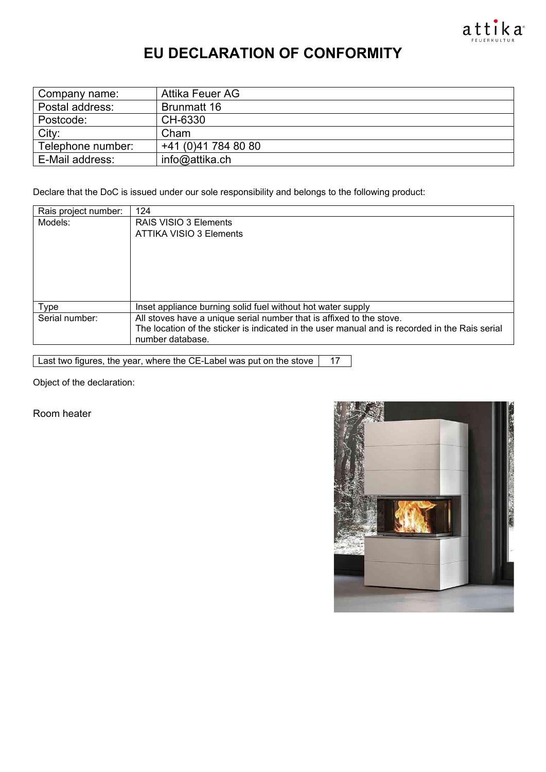

# **EU DECLARATION OF CONFORMITY**

| Company name:     | Attika Feuer AG     |
|-------------------|---------------------|
| Postal address:   | Brunmatt 16         |
| Postcode:         | CH-6330             |
| City:             | Cham                |
| Telephone number: | +41 (0)41 784 80 80 |
| E-Mail address:   | info@attika.ch      |

Declare that the DoC is issued under our sole responsibility and belongs to the following product:

| Rais project number: | 124                                                                                            |
|----------------------|------------------------------------------------------------------------------------------------|
| Models:              | RAIS VISIO 3 Elements                                                                          |
|                      | ATTIKA VISIO 3 Elements                                                                        |
|                      |                                                                                                |
|                      |                                                                                                |
|                      |                                                                                                |
|                      |                                                                                                |
|                      |                                                                                                |
| Type                 | Inset appliance burning solid fuel without hot water supply                                    |
| Serial number:       | All stoves have a unique serial number that is affixed to the stove.                           |
|                      | The location of the sticker is indicated in the user manual and is recorded in the Rais serial |
|                      | number database.                                                                               |

Last two figures, the year, where the CE-Label was put on the stove | 17

Object of the declaration:

Room heater